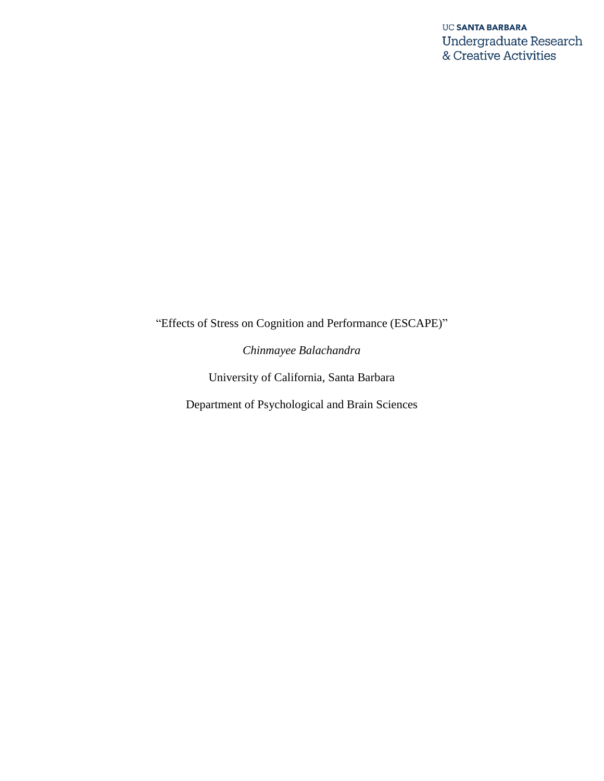"Effects of Stress on Cognition and Performance (ESCAPE)"

*Chinmayee Balachandra*

University of California, Santa Barbara

Department of Psychological and Brain Sciences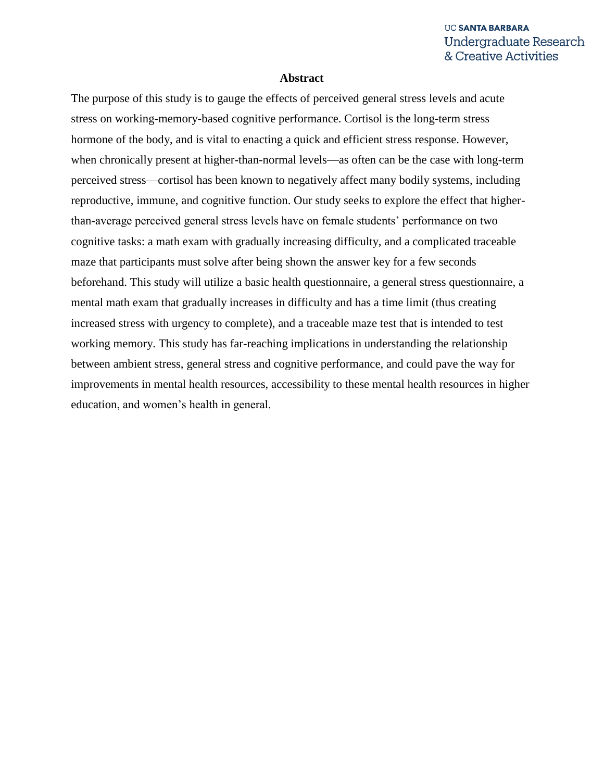#### **Abstract**

The purpose of this study is to gauge the effects of perceived general stress levels and acute stress on working-memory-based cognitive performance. Cortisol is the long-term stress hormone of the body, and is vital to enacting a quick and efficient stress response. However, when chronically present at higher-than-normal levels—as often can be the case with long-term perceived stress—cortisol has been known to negatively affect many bodily systems, including reproductive, immune, and cognitive function. Our study seeks to explore the effect that higherthan-average perceived general stress levels have on female students' performance on two cognitive tasks: a math exam with gradually increasing difficulty, and a complicated traceable maze that participants must solve after being shown the answer key for a few seconds beforehand. This study will utilize a basic health questionnaire, a general stress questionnaire, a mental math exam that gradually increases in difficulty and has a time limit (thus creating increased stress with urgency to complete), and a traceable maze test that is intended to test working memory. This study has far-reaching implications in understanding the relationship between ambient stress, general stress and cognitive performance, and could pave the way for improvements in mental health resources, accessibility to these mental health resources in higher education, and women's health in general.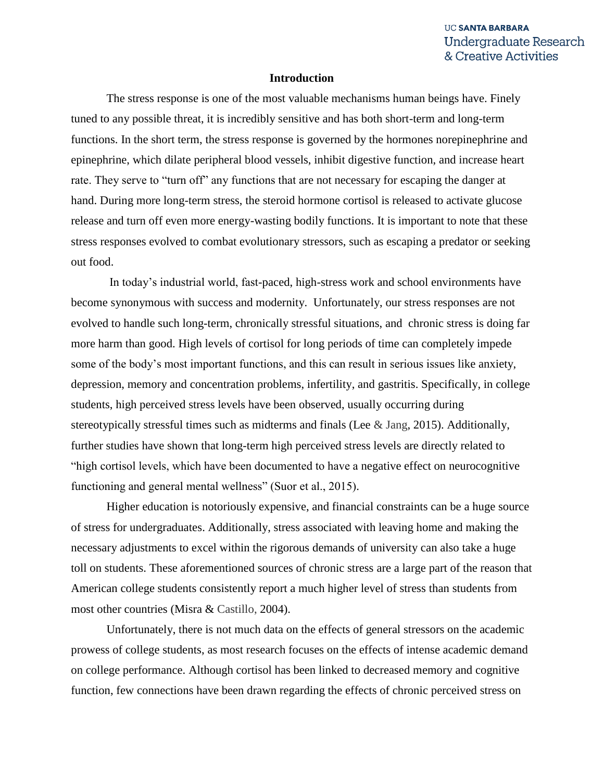#### **Introduction**

The stress response is one of the most valuable mechanisms human beings have. Finely tuned to any possible threat, it is incredibly sensitive and has both short-term and long-term functions. In the short term, the stress response is governed by the hormones norepinephrine and epinephrine, which dilate peripheral blood vessels, inhibit digestive function, and increase heart rate. They serve to "turn off" any functions that are not necessary for escaping the danger at hand. During more long-term stress, the steroid hormone cortisol is released to activate glucose release and turn off even more energy-wasting bodily functions. It is important to note that these stress responses evolved to combat evolutionary stressors, such as escaping a predator or seeking out food.

In today's industrial world, fast-paced, high-stress work and school environments have become synonymous with success and modernity. Unfortunately, our stress responses are not evolved to handle such long-term, chronically stressful situations, and chronic stress is doing far more harm than good. High levels of cortisol for long periods of time can completely impede some of the body's most important functions, and this can result in serious issues like anxiety, depression, memory and concentration problems, infertility, and gastritis. Specifically, in college students, high perceived stress levels have been observed, usually occurring during stereotypically stressful times such as midterms and finals (Lee & Jang, 2015). Additionally, further studies have shown that long-term high perceived stress levels are directly related to "high cortisol levels, which have been documented to have a negative effect on neurocognitive functioning and general mental wellness" (Suor et al., 2015).

Higher education is notoriously expensive, and financial constraints can be a huge source of stress for undergraduates. Additionally, stress associated with leaving home and making the necessary adjustments to excel within the rigorous demands of university can also take a huge toll on students. These aforementioned sources of chronic stress are a large part of the reason that American college students consistently report a much higher level of stress than students from most other countries (Misra & Castillo, 2004).

Unfortunately, there is not much data on the effects of general stressors on the academic prowess of college students, as most research focuses on the effects of intense academic demand on college performance. Although cortisol has been linked to decreased memory and cognitive function, few connections have been drawn regarding the effects of chronic perceived stress on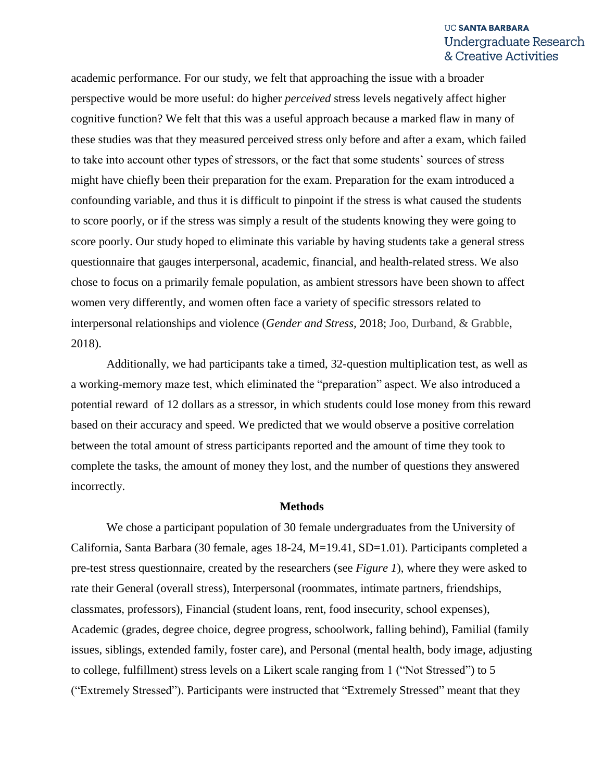academic performance. For our study, we felt that approaching the issue with a broader perspective would be more useful: do higher *perceived* stress levels negatively affect higher cognitive function? We felt that this was a useful approach because a marked flaw in many of these studies was that they measured perceived stress only before and after a exam, which failed to take into account other types of stressors, or the fact that some students' sources of stress might have chiefly been their preparation for the exam. Preparation for the exam introduced a confounding variable, and thus it is difficult to pinpoint if the stress is what caused the students to score poorly, or if the stress was simply a result of the students knowing they were going to score poorly. Our study hoped to eliminate this variable by having students take a general stress questionnaire that gauges interpersonal, academic, financial, and health-related stress. We also chose to focus on a primarily female population, as ambient stressors have been shown to affect women very differently, and women often face a variety of specific stressors related to interpersonal relationships and violence (*Gender and Stress,* 2018; Joo, Durband, & Grabble, 2018).

Additionally, we had participants take a timed, 32-question multiplication test, as well as a working-memory maze test, which eliminated the "preparation" aspect. We also introduced a potential reward of 12 dollars as a stressor, in which students could lose money from this reward based on their accuracy and speed. We predicted that we would observe a positive correlation between the total amount of stress participants reported and the amount of time they took to complete the tasks, the amount of money they lost, and the number of questions they answered incorrectly.

#### **Methods**

We chose a participant population of 30 female undergraduates from the University of California, Santa Barbara (30 female, ages 18-24, M=19.41, SD=1.01). Participants completed a pre-test stress questionnaire, created by the researchers (see *Figure 1*), where they were asked to rate their General (overall stress), Interpersonal (roommates, intimate partners, friendships, classmates, professors), Financial (student loans, rent, food insecurity, school expenses), Academic (grades, degree choice, degree progress, schoolwork, falling behind), Familial (family issues, siblings, extended family, foster care), and Personal (mental health, body image, adjusting to college, fulfillment) stress levels on a Likert scale ranging from 1 ("Not Stressed") to 5 ("Extremely Stressed"). Participants were instructed that "Extremely Stressed" meant that they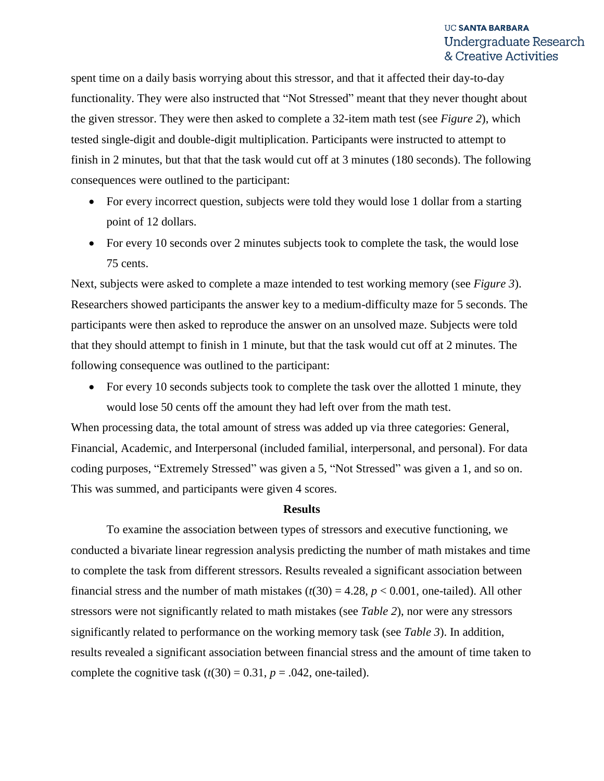spent time on a daily basis worrying about this stressor, and that it affected their day-to-day functionality. They were also instructed that "Not Stressed" meant that they never thought about the given stressor. They were then asked to complete a 32-item math test (see *Figure 2*), which tested single-digit and double-digit multiplication. Participants were instructed to attempt to finish in 2 minutes, but that that the task would cut off at 3 minutes (180 seconds). The following consequences were outlined to the participant:

- For every incorrect question, subjects were told they would lose 1 dollar from a starting point of 12 dollars.
- For every 10 seconds over 2 minutes subjects took to complete the task, the would lose 75 cents.

Next, subjects were asked to complete a maze intended to test working memory (see *Figure 3*). Researchers showed participants the answer key to a medium-difficulty maze for 5 seconds. The participants were then asked to reproduce the answer on an unsolved maze. Subjects were told that they should attempt to finish in 1 minute, but that the task would cut off at 2 minutes. The following consequence was outlined to the participant:

• For every 10 seconds subjects took to complete the task over the allotted 1 minute, they would lose 50 cents off the amount they had left over from the math test.

When processing data, the total amount of stress was added up via three categories: General, Financial, Academic, and Interpersonal (included familial, interpersonal, and personal). For data coding purposes, "Extremely Stressed" was given a 5, "Not Stressed" was given a 1, and so on. This was summed, and participants were given 4 scores.

#### **Results**

To examine the association between types of stressors and executive functioning, we conducted a bivariate linear regression analysis predicting the number of math mistakes and time to complete the task from different stressors. Results revealed a significant association between financial stress and the number of math mistakes  $(t(30) = 4.28, p < 0.001$ , one-tailed). All other stressors were not significantly related to math mistakes (see *Table 2*), nor were any stressors significantly related to performance on the working memory task (see *Table 3*). In addition, results revealed a significant association between financial stress and the amount of time taken to complete the cognitive task  $(t(30) = 0.31, p = .042$ , one-tailed).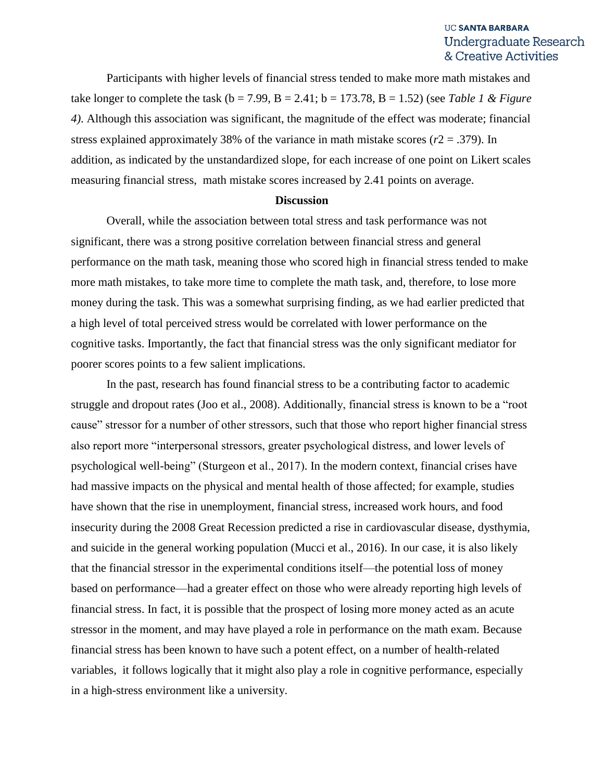Participants with higher levels of financial stress tended to make more math mistakes and take longer to complete the task ( $b = 7.99$ ,  $B = 2.41$ ;  $b = 173.78$ ,  $B = 1.52$ ) (see *Table 1 & Figure 4)*. Although this association was significant, the magnitude of the effect was moderate; financial stress explained approximately 38% of the variance in math mistake scores ( $r2 = .379$ ). In addition, as indicated by the unstandardized slope, for each increase of one point on Likert scales measuring financial stress, math mistake scores increased by 2.41 points on average.

### **Discussion**

Overall, while the association between total stress and task performance was not significant, there was a strong positive correlation between financial stress and general performance on the math task, meaning those who scored high in financial stress tended to make more math mistakes, to take more time to complete the math task, and, therefore, to lose more money during the task. This was a somewhat surprising finding, as we had earlier predicted that a high level of total perceived stress would be correlated with lower performance on the cognitive tasks. Importantly, the fact that financial stress was the only significant mediator for poorer scores points to a few salient implications.

In the past, research has found financial stress to be a contributing factor to academic struggle and dropout rates (Joo et al., 2008). Additionally, financial stress is known to be a "root cause" stressor for a number of other stressors, such that those who report higher financial stress also report more "interpersonal stressors, greater psychological distress, and lower levels of psychological well-being" (Sturgeon et al., 2017). In the modern context, financial crises have had massive impacts on the physical and mental health of those affected; for example, studies have shown that the rise in unemployment, financial stress, increased work hours, and food insecurity during the 2008 Great Recession predicted a rise in cardiovascular disease, dysthymia, and suicide in the general working population (Mucci et al., 2016). In our case, it is also likely that the financial stressor in the experimental conditions itself—the potential loss of money based on performance—had a greater effect on those who were already reporting high levels of financial stress. In fact, it is possible that the prospect of losing more money acted as an acute stressor in the moment, and may have played a role in performance on the math exam. Because financial stress has been known to have such a potent effect, on a number of health-related variables, it follows logically that it might also play a role in cognitive performance, especially in a high-stress environment like a university.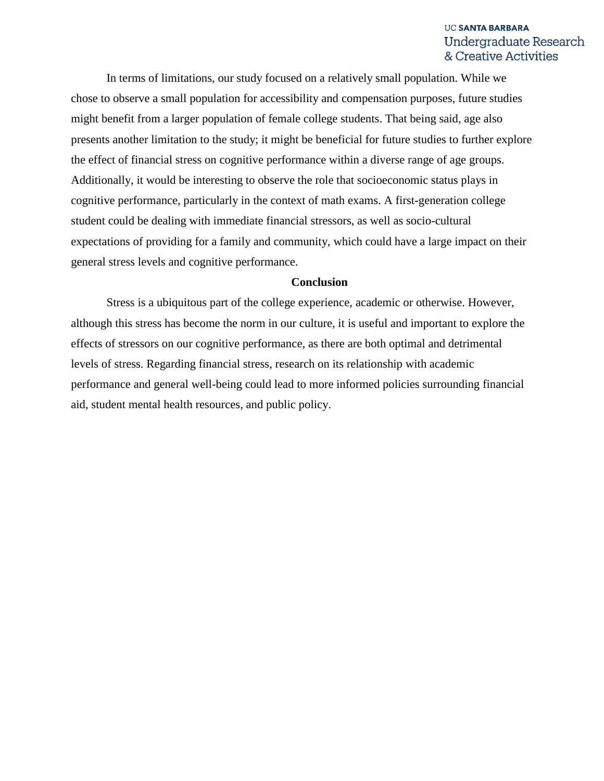In terms of limitations, our study focused on a relatively small population. While we chose to observe a small population for accessibility and compensation purposes, future studies might benefit from a larger population of female college students. That being said, age also presents another limitation to the study; it might be beneficial for future studies to further explore the effect of financial stress on cognitive performance within a diverse range of age groups. Additionally, it would be interesting to observe the role that socioeconomic status plays in cognitive performance, particularly in the context of math exams. A first-generation college student could be dealing with immediate financial stressors, as well as socio-cultural expectations of providing for a family and community, which could have a large impact on their general stress levels and cognitive performance.

#### **Conclusion**

Stress is a ubiquitous part of the college experience, academic or otherwise. However, although this stress has become the norm in our culture, it is useful and important to explore the effects of stressors on our cognitive performance, as there are both optimal and detrimental levels of stress. Regarding financial stress, research on its relationship with academic performance and general well-being could lead to more informed policies surrounding financial aid, student mental health resources, and public policy.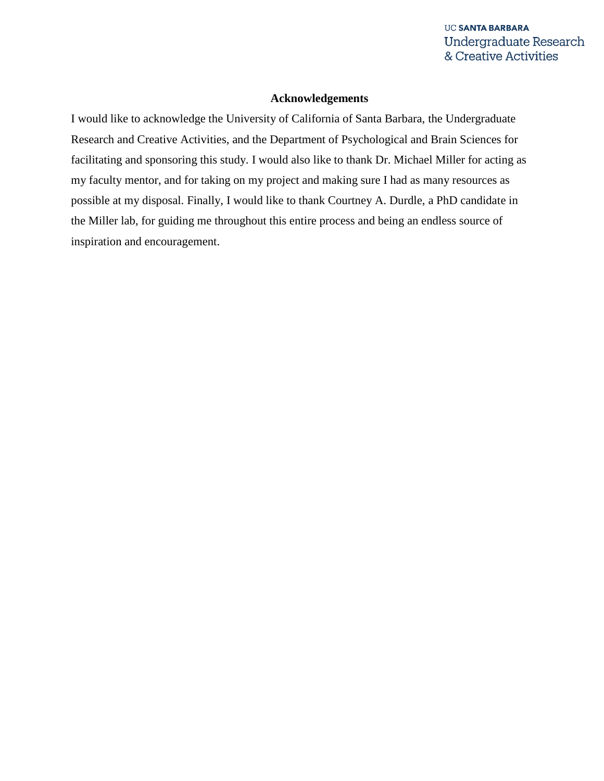#### **Acknowledgements**

I would like to acknowledge the University of California of Santa Barbara, the Undergraduate Research and Creative Activities, and the Department of Psychological and Brain Sciences for facilitating and sponsoring this study. I would also like to thank Dr. Michael Miller for acting as my faculty mentor, and for taking on my project and making sure I had as many resources as possible at my disposal. Finally, I would like to thank Courtney A. Durdle, a PhD candidate in the Miller lab, for guiding me throughout this entire process and being an endless source of inspiration and encouragement.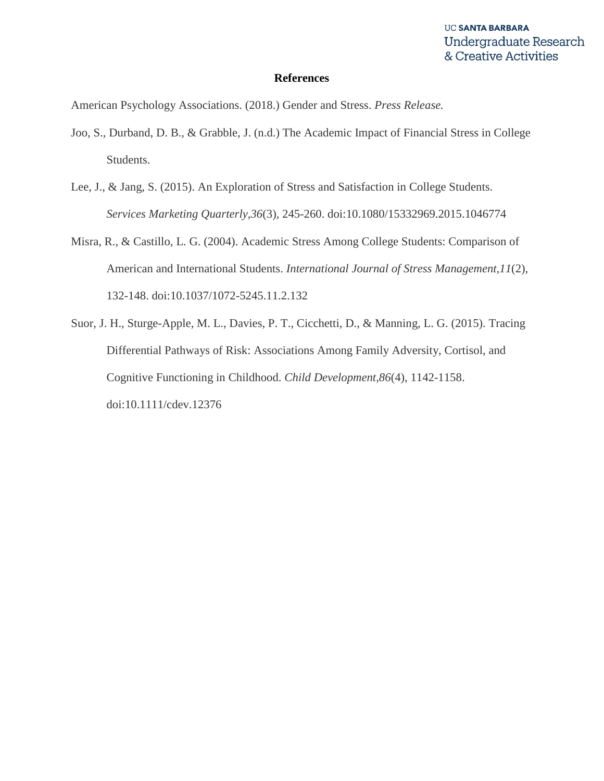#### **References**

American Psychology Associations. (2018.) Gender and Stress. *Press Release.*

- Joo, S., Durband, D. B., & Grabble, J. (n.d.) The Academic Impact of Financial Stress in College Students.
- Lee, J., & Jang, S. (2015). An Exploration of Stress and Satisfaction in College Students. *Services Marketing Quarterly,36*(3), 245-260. doi:10.1080/15332969.2015.1046774
- Misra, R., & Castillo, L. G. (2004). Academic Stress Among College Students: Comparison of American and International Students. *International Journal of Stress Management,11*(2), 132-148. doi:10.1037/1072-5245.11.2.132
- Suor, J. H., Sturge-Apple, M. L., Davies, P. T., Cicchetti, D., & Manning, L. G. (2015). Tracing Differential Pathways of Risk: Associations Among Family Adversity, Cortisol, and Cognitive Functioning in Childhood. *Child Development,86*(4), 1142-1158. doi:10.1111/cdev.12376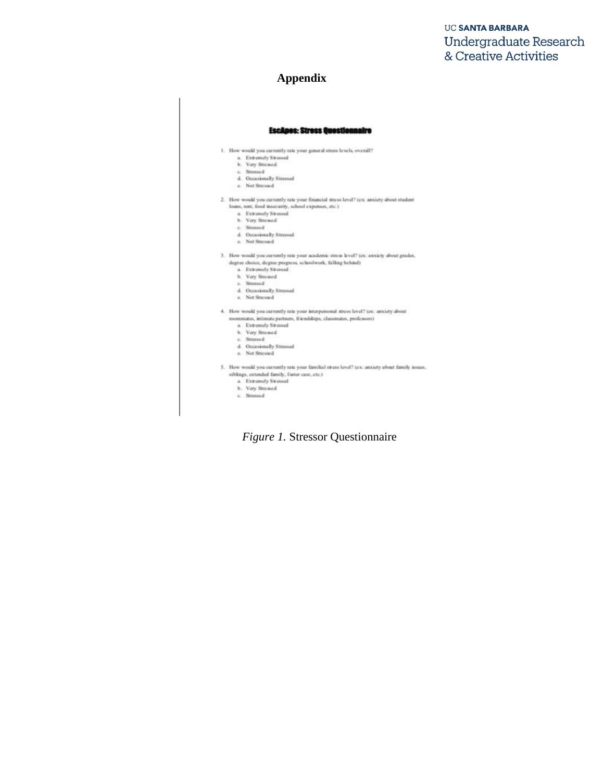## **Appendix**

#### **EscApes: Stress Questionnaire**

- 1. How would you currently rate your general stress levels, overall?
	- a. Extremely Stressed<br>b. Very Stressed
	-
	-
	- $\,$ c. Stressed<br> 4. Occasionally Stressed<br> <br/>e. Not Stressed<br>
- 2. How would you currently rate your financial stress level? (ex: anxiety about student loans, rent, food insecurity, school expenses, etc.)
	- a. Extremely Stressed
	- b. Very Strened<br>c. Stressed
	-
	- d. Occasionally Stressed
	- c. Not Stressed
- 3. How would you currently rate your academic stress level? (ex: anxiety about grades,  $\begin{small} \texttt{degree choice}, \texttt{degree property} \texttt{sebelow} \texttt{ack}, \texttt{filling behind} \\ \texttt{a.} \end{small}$ 
	-
	-
	-
	- a Extremely Stressed<br>
	h. Very Stressed<br>
	c. Stressed<br>
	d. Occasionally Stressed<br>
	e. Not Stressed
	-
- 4. How would you currently rate your interpersonal stress level? (ex: anxiety about nommates, intimate partners, friendships, classmates, professors)  $\,$  a  $\,$  - Extremely Stressed
	-
	- b. Vay Strewed
	- c. Stressed
	- d. Occasionally Stressed
	- e. Not Stressed
- 5. How would you currently rate your familial stress level? (ex: anxiety about family issues, siblings, extended family, foster care, etc.)
	- $\begin{tabular}{ll} a & \textbf{Ext} and \textbf{y } \textbf{Stessed} \\ b. & \textbf{Vay } \textbf{Stessed} \end{tabular}$ 
		-
	- $c$  Stressed

*Figure 1.* Stressor Questionnaire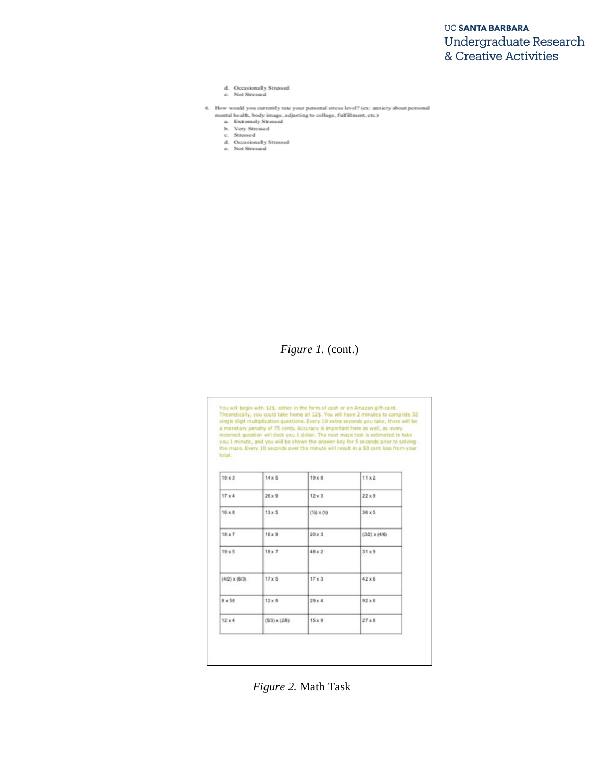- d. Occasionally Stressed
- e. Not Stressed
- 6. How would you currently rate your personal stress level? (ex: anxiety about personal mental health, body image, adjusting to college, fulfillment, etc.)
	-
	-
	- a. Extremely Stressed<br>b. Very Stressed<br>c. Stressed
	- d. Occasionally Stressed<br>e. Not Stressed

# *Figure 1. (cont.)*

You will begin with 12\$, either in the form of cash or an Amazon gift-card.<br>Theoretically, you could take home all 12\$. You will have 2 minutes to complete 32<br>single digit multiplication questions. Every 10 extra seconds y total.

| $18 \times 3$        | $14 \times 5$      | $19 \times B$      | $11 \times 2$        |
|----------------------|--------------------|--------------------|----------------------|
| 17 × 4               | $26 \times 9$      | $12 \times 3$      | $22 \times 9$        |
| $16 \times 8$        | $13 \times 5$      | $(76) \times (55)$ | $36 \times 5$        |
| $18 \times 7$        | $16 \times 9$      | $20 \times 3$      | $(3/2) \times (4/6)$ |
| $19 \times 5$        | $18 \times 7$      | 48 x 2             | $31 \times 9$        |
| $(4/2) \times (6/3)$ | $17 \times 5$      | $17 \times 3$      | $42 \times 6$        |
| 8 x 58               | $12 \times 9$      | 29x4               | $92 \times 6$        |
| $12 \times 4$        | $(53) \times (28)$ | $15 \times 9$      | $27 \times 8$        |

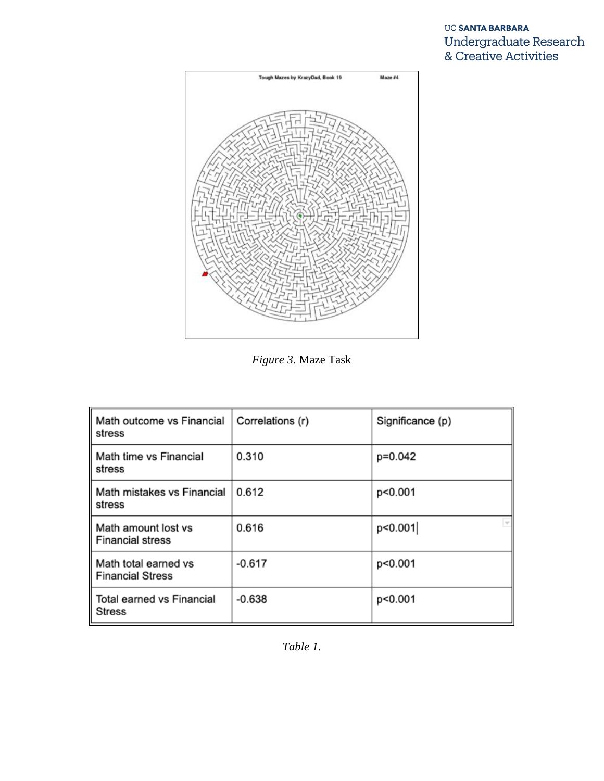



*Figure 3.* Maze Task

| Math outcome vs Financial<br>stress             | Correlations (r) | Significance (p) |
|-------------------------------------------------|------------------|------------------|
| Math time vs Financial<br>stress                | 0.310            | p=0.042          |
| Math mistakes vs Financial<br>stress            | 0.612            | p<0.001          |
| Math amount lost vs<br><b>Financial stress</b>  | 0.616            | p<0.001          |
| Math total earned vs<br><b>Financial Stress</b> | $-0.617$         | p<0.001          |
| Total earned vs Financial<br><b>Stress</b>      | $-0.638$         | p<0.001          |

*Table 1.*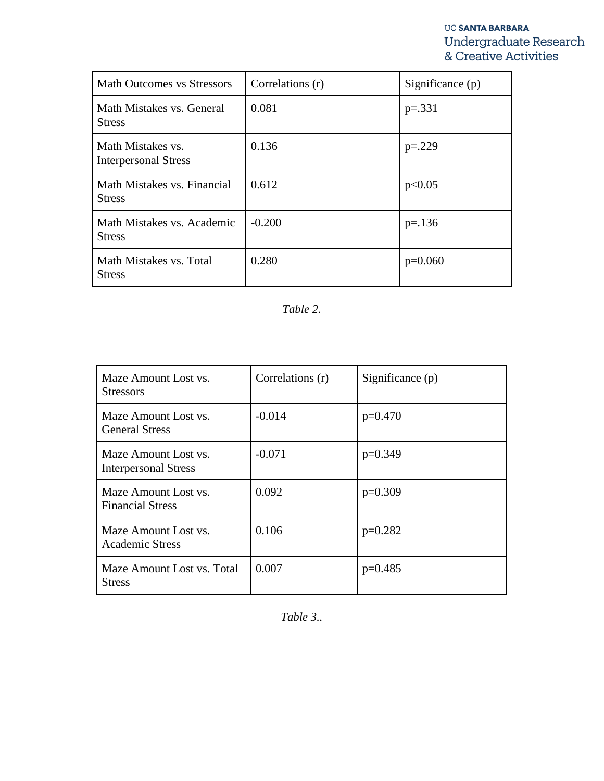| <b>Math Outcomes vs Stressors</b>                | Correlations (r) | Significance $(p)$ |
|--------------------------------------------------|------------------|--------------------|
| Math Mistakes vs. General<br><b>Stress</b>       | 0.081            | $p=.331$           |
| Math Mistakes vs.<br><b>Interpersonal Stress</b> | 0.136            | $p=.229$           |
| Math Mistakes vs. Financial<br><b>Stress</b>     | 0.612            | p<0.05             |
| Math Mistakes vs. Academic<br><b>Stress</b>      | $-0.200$         | $p=.136$           |
| Math Mistakes vs. Total<br><b>Stress</b>         | 0.280            | $p=0.060$          |

*Table 2.* 

| Maze Amount Lost vs.<br><b>Stressors</b>            | Correlations (r) | Significance (p) |
|-----------------------------------------------------|------------------|------------------|
| Maze Amount Lost vs.<br><b>General Stress</b>       | $-0.014$         | $p=0.470$        |
| Maze Amount Lost vs.<br><b>Interpersonal Stress</b> | $-0.071$         | $p=0.349$        |
| Maze Amount Lost vs.<br><b>Financial Stress</b>     | 0.092            | $p=0.309$        |
| Maze Amount Lost vs.<br><b>Academic Stress</b>      | 0.106            | $p=0.282$        |
| Maze Amount Lost vs. Total<br><b>Stress</b>         | 0.007            | $p=0.485$        |

*Table 3..*